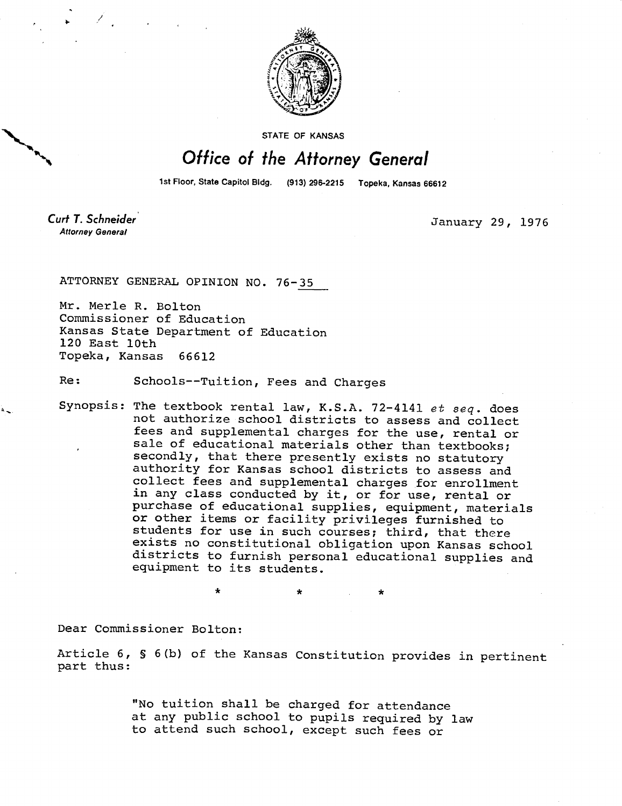

STATE OF KANSAS

## Office of the Attorney General

1st Floor, State Capitol Bldg. (913) 296-2215 Topeka, Kansas 66612

Curt T. Schneider **Attorney General** 

January 29, 1976

ATTORNEY GENERAL OPINION NO. 76-35

Mr. Merle R. Bolton Commissioner of Education Kansas State Department of Education 120 East 10th Topeka, Kansas 66612

Re: Schools--Tuition, Fees and Charges

Synopsis: The textbook rental law, K.S.A. 72-4141 et seq. does not authorize school districts to assess and collect fees and supplemental charges for the use, rental or sale of educational materials other than textbooks; secondly, that there presently exists no statutory authority for Kansas school districts to assess and collect fees and supplemental charges for enrollment in any class conducted by it, or for use, rental or purchase of educational supplies, equipment, materials or other items or facility privileges furnished to students for use in such courses; third, that there exists no constitutional obligation upon Kansas school districts to furnish personal educational supplies and equipment to its students.

Dear Commissioner Bolton:

Article 6, § 6(b) of the Kansas Constitution provides in pertinent part thus:

\* \*

"No tuition shall be charged for attendance at any public school to pupils required by law to attend such school, except such fees or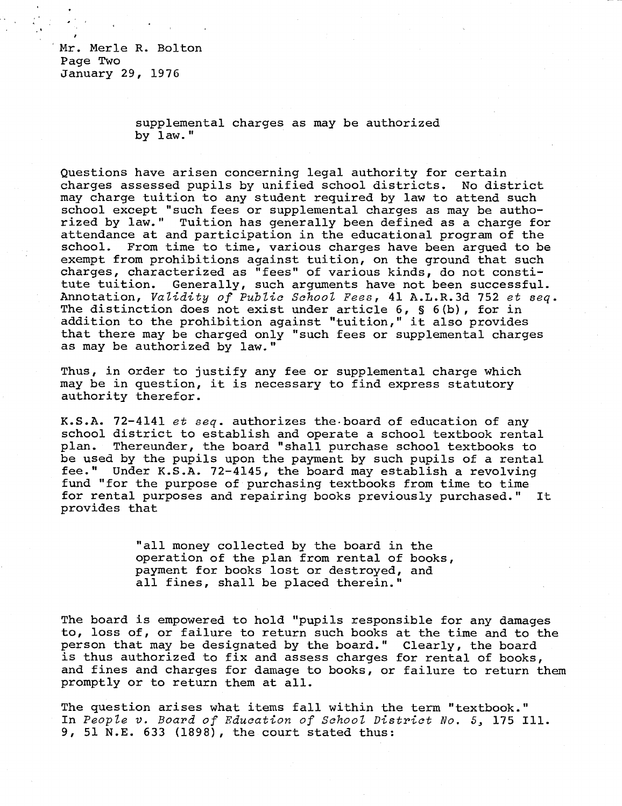Mr. Merle R. Bolton Page Two January 29, 1976

> supplemental charges as may be authorized by law."

Questions have arisen concerning legal authority for certain charges assessed pupils by unified school districts. No district may charge tuition to any student required by law to attend such school except "such fees or supplemental charges as may be authorized by law." Tuition has generally been defined as a charge for attendance at and participation in the educational program of the school. From time to time, various charges have been argued to be exempt from prohibitions against tuition, on the ground that such charges, characterized as "fees" of various kinds, do not constitute tuition. Generally, such arguments have not been successful. Annotation, Validity of Public School Fees, 41 A.L.R.3d 752 et seq. The distinction does not exist under article 6, § 6(b), for in addition to the prohibition against "tuition," it also provides that there may be charged only "such fees or supplemental charges as may be authorized by law."

Thus, in order to justify any fee or supplemental charge which may be in question, it is necessary to find express statutory authority therefor.

K.S.A. 72-4141 et seq. authorizes the board of education of any school district to establish and operate a school textbook rental plan. Thereunder, the board "shall purchase school textbooks to be used by the pupils upon the payment by such pupils of a rental fee." Under K.S.A. 72-4145, the board may establish a revolving fund "for the purpose of purchasing textbooks from time to time for rental purposes and repairing books previously purchased." It provides that

> "all money collected by the board in the operation of the plan from rental of books, payment for books lost or destroyed, and all fines, shall be placed therein."

The board is empowered to hold "pupils responsible for any damages to, loss of, or failure to return such books at the time and to the person that may be designated by the board." Clearly, the board is thus authorized to fix and assess charges for rental of books, and fines and charges for damage to books, or failure to return them promptly or to return them at all.

The question arises what items fall within the term "textbook." In People v. Board of Education of School District No. 5, 175 Ill. 9, 51 N.E. 633 (1898), the court stated thus: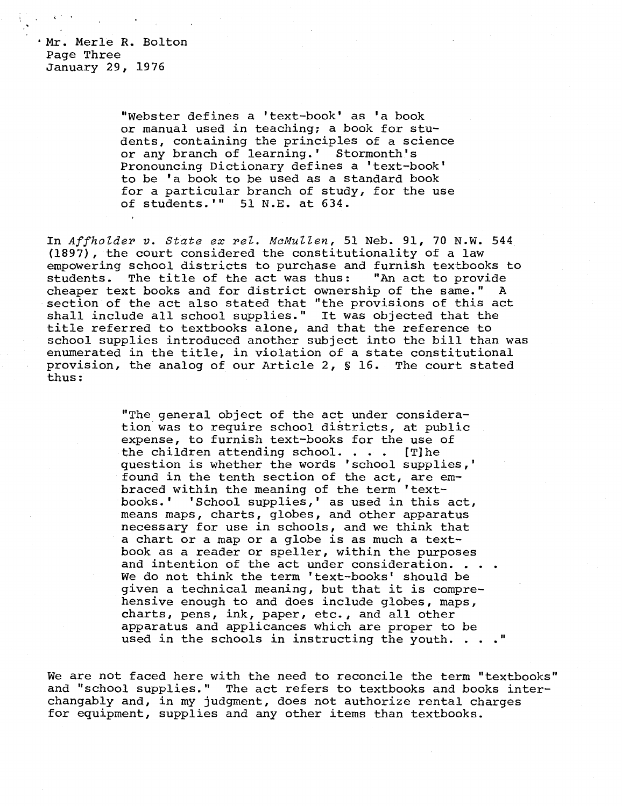Mr. Merle R. Bolton Page Three January 29, 1976

> "Webster defines a 'text-book' as 'a book or manual used in teaching; a book for students, containing the principles of a science or any branch of learning.' Stormonth's Pronouncing Dictionary defines a 'text-book' to be 'a book to be used as a standard book for a particular branch of study, for the use of students.'" 51 N.E. at 634.

In Affholder v. State ex rel. McMullen, 51 Neb. 91, 70 N.W. 544 (1897), the court considered the constitutionality of a law empowering school districts to purchase and furnish textbooks to<br>students. The title of the act was thus: "An act to provide students. The title of the act was thus: cheaper text books and for district ownership of the same." A section of the act also stated that "the provisions of this act shall include all school supplies." It was objected that the title referred to textbooks alone, and that the reference to school supplies introduced another subject into the bill than was enumerated in the title, in violation of a state constitutional provision, the analog of our Article 2, § 16. The court stated thus:

> "The general object of the act under consideration was to require school districts, at public expense, to furnish text-books for the use of the children attending school. . . . [T]he question is whether the words 'school supplies,' found in the tenth section of the act, are embraced within the meaning of the term 'text-<br>books.' 'School supplies,' as used in this 'School supplies,' as used in this act, means maps, charts, globes, and other apparatus necessary for use in schools, and we think that a chart or a map or a globe is as much a textbook as a reader or speller, within the purposes and intention of the act under consideration. . . . We do not think the term 'text-books' should be given a technical meaning, but that it is comprehensive enough to and does include globes, maps, charts, pens, ink, paper, etc., and all other apparatus and applicances which are proper to be used in the schools in instructing the youth. . . ."

We are not faced here with the need to reconcile the term "textbooks" and "school supplies." The act refers to textbooks and books interchangably and, in my judgment, does not authorize rental charges for equipment, supplies and any other items than textbooks.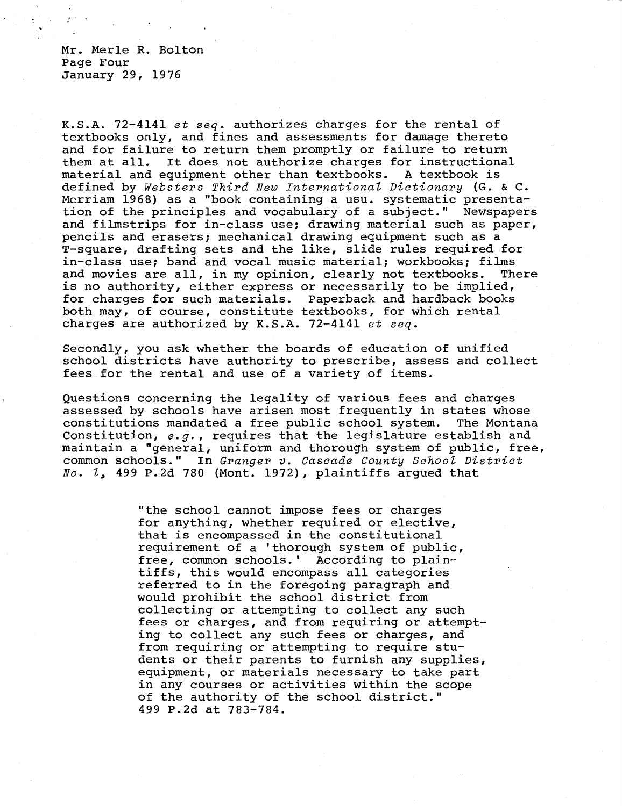Mr. Merle R. Bolton Page Four January 29, 1976

K.S.A. 72-4141 et seq. authorizes charges for the rental of textbooks only, and fines and assessments for damage thereto and for failure to return them promptly or failure to return them at all. It does not authorize charges for instructional material and equipment other than textbooks. A textbook is defined by Websters Third New International Dictionary (G. & C. Merriam 1968) as a "book containing a usu. systematic presentation of the principles and vocabulary of a subject." Newspapers and filmstrips for in-class use; drawing material such as paper, pencils and erasers; mechanical drawing equipment such as a T-square, drafting sets and the like, slide rules required for in-class use; band and vocal music material; workbooks; films and movies are all, in my opinion, clearly not textbooks. There is no authority, either express or necessarily to be implied, for charges for such materials. Paperback and hardback books both may, of course, constitute textbooks, for which rental charges are authorized by K.S.A. 72-4141 et seq.

Secondly, you ask whether the boards of education of unified school districts have authority to prescribe, assess and collect fees for the rental and use of a variety of items.

Questions concerning the legality of various fees and charges assessed by schools have arisen most frequently in states whose constitutions mandated a free public school system. The Montana Constitution, e.g., requires that the legislature establish and maintain a "general, uniform and thorough system of public, free, common schools." In Granger v. Cascade County School District No. 1, 499 P.2d 780 (Mont. 1972), plaintiffs argued that

> "the school cannot impose fees or charges for anything, whether required or elective, that is encompassed in the constitutional requirement of a 'thorough system of public, free, common schools.' According to plaintiffs, this would encompass all categories referred to in the foregoing paragraph and would prohibit the school district from collecting or attempting to collect any such fees or charges, and from requiring or attempting to collect any such fees or charges, and from requiring or attempting to require students or their parents to furnish any supplies, equipment, or materials necessary to take part in any courses or activities within the scope of the authority of the school district." 499 P.2d at 783-784.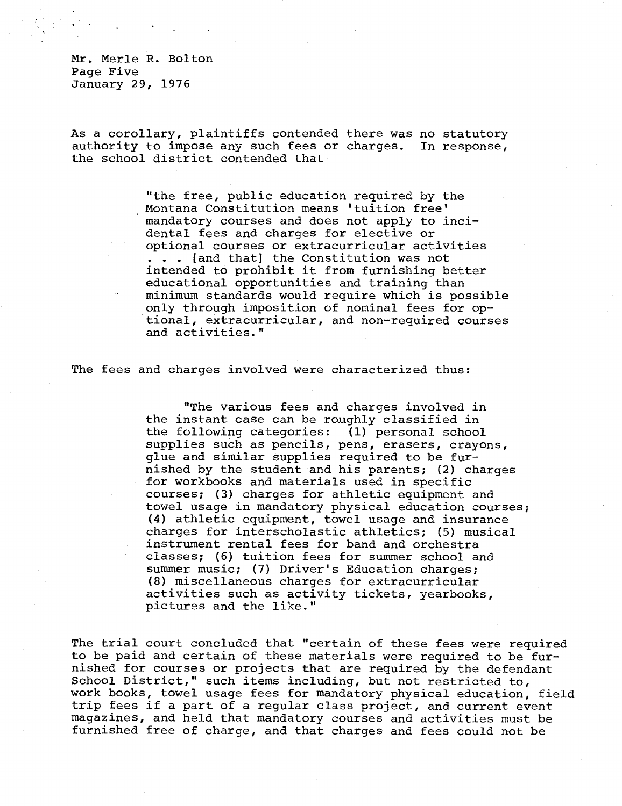Mr. Merle R. Bolton Page Five January 29, 1976

As a corollary, plaintiffs contended there was no statutory authority to impose any such fees or charges. In response, the school district contended that

> "the free, public education required by the Montana Constitution means 'tuition free' mandatory courses and does not apply to incidental fees and charges for elective or optional courses or extracurricular activities . . . [and that] the Constitution was not intended to prohibit it from furnishing better educational opportunities and training than minimum standards would require which is possible only through imposition of nominal fees for optional, extracurricular, and non-required courses and activities."

The fees and charges involved were characterized thus:

"The various fees and charges involved in the instant case can be roughly classified in the following categories: (1) personal school supplies such as pencils, pens, erasers, crayons, glue and similar supplies required to be furnished by the student and his parents; (2) charges for workbooks and materials used in specific courses; (3) charges for athletic equipment and towel usage in mandatory physical education courses; (4) athletic equipment, towel usage and insurance charges for interscholastic athletics; (5) musical instrument rental fees for band and orchestra classes; (6) tuition fees for summer school and summer music; (7) Driver's Education charges; (8) miscellaneous charges for extracurricular activities such as activity tickets, yearbooks, pictures and the like."

The trial court concluded that "certain of these fees were required to be paid and certain of these materials were required to be furnished for courses or projects that are required by the defendant School District," such items including, but not restricted to, work books, towel usage fees for mandatory physical education, field trip fees if a part of a regular class project, and current event magazines, and held that mandatory courses and activities must be furnished free of charge, and that charges and fees could not be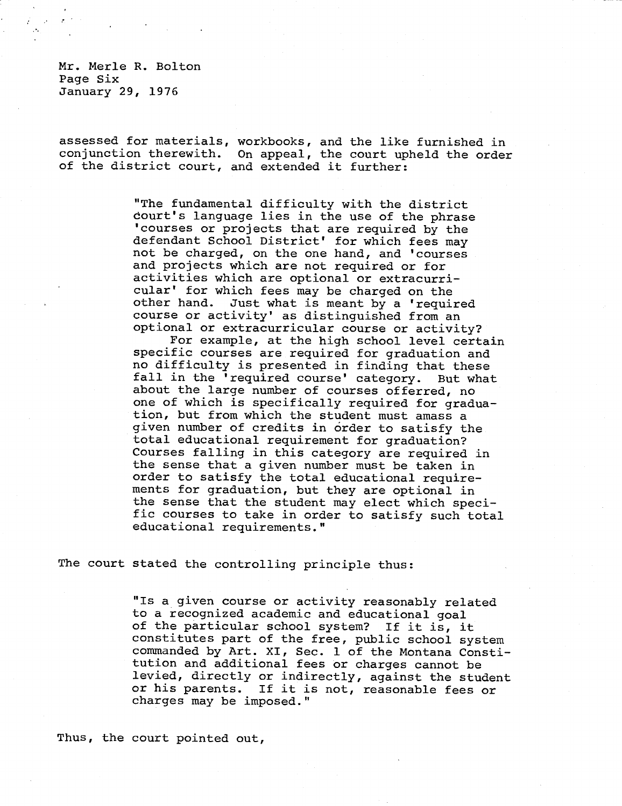Mr. Merle R. Bolton Page Six January 29, 1976

assessed for materials, workbooks, and the like furnished in conjunction therewith. On appeal, the court upheld the order of the district court, and extended it further:

> "The fundamental difficulty with the district court's language lies in the use of the phrase 'courses or projects that are required by the defendant School District' for which fees may not be charged, on the one hand, and 'courses and projects which are not required or for activities which are optional or extracurricular' for which fees may be charged on the other hand. Just what is meant by a 'required course or activity' as distinguished from an optional or extracurricular course or activity?

For example, at the high school level certain specific courses are required for graduation and no difficulty is presented in finding that these fall in the 'required course' category. But what about the large number of courses offerred, no one of which is specifically required for graduation, but from which the student must amass a given number of credits in order to satisfy the total educational requirement for graduation? Courses falling in this category are required in the sense that a given number must be taken in order to satisfy the total educational requirements for graduation, but they are optional in the sense that the student may elect which specific courses to take in order to satisfy such total educational requirements."

The court stated the controlling principle thus:

"Is a given course or activity reasonably related to a recognized academic and educational goal of the particular school system? If it is, it constitutes part of the free, public school system commanded by Art. XI, Sec. 1 of the Montana Constitution and additional fees or charges cannot be levied, directly or indirectly, against the student or his parents. If it is not, reasonable fees or charges may be imposed."

Thus, the court pointed out,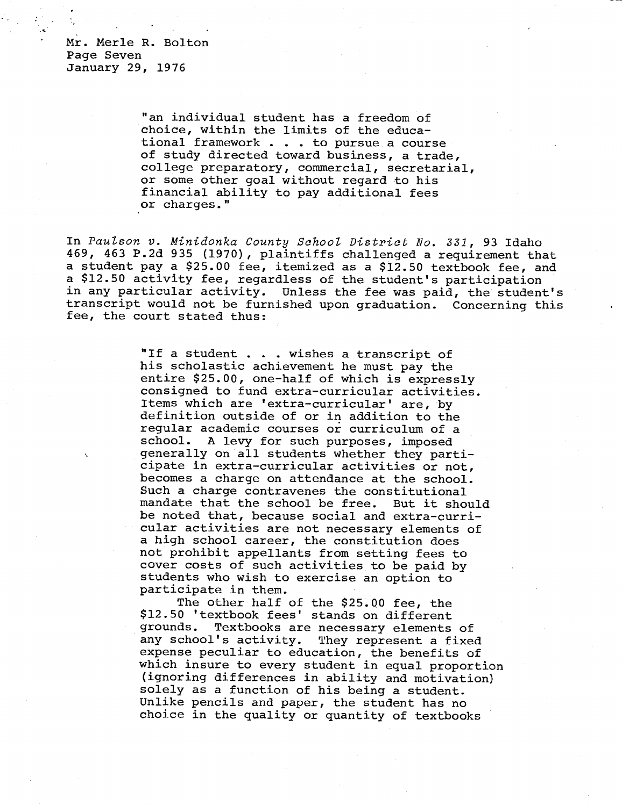Mr. Merle R. Bolton Page Seven January 29, 1976

> "an individual student has a freedom of choice, within the limits of the educational framework . . . to pursue a course of study directed toward business, a trade, college preparatory, commercial, secretarial, or some other goal without regard to his financial ability to pay additional fees or charges."

In Paulson v. Minidonka County School District No. 331, 93 Idaho 469, 463 P.2d 935 (1970), plaintiffs challenged a requirement that a student pay a \$25.00 fee, itemized as a \$12.50 textbook fee, and a \$12.50 activity fee, regardless of the student's participation in any particular activity. Unless the fee was paid, the student's transcript would not be furnished upon graduation. Concerning this fee, the court stated thus:

> "If a student . . . wishes a transcript of his scholastic achievement he must pay the entire \$25.00, one-half of which is expressly consigned to fund extra-curricular activities. Items which are 'extra-curricular' are, by definition outside of or in addition to the regular academic courses or curriculum of a school. A levy for such purposes, imposed generally on all students whether they participate in extra-curricular activities or not, becomes a charge on attendance at the school. Such a charge contravenes the constitutional mandate that the school be free. But it should be noted that, because social and extra-curricular activities are not necessary elements of a high school career, the constitution does not prohibit appellants from setting fees to cover costs of such activities to be paid by students who wish to exercise an option to participate in them.

The other half of the \$25.00 fee, the \$12.50 'textbook fees' stands on different grounds. Textbooks are necessary elements of<br>any school's activity. They represent a fixed They represent a fixed expense peculiar to education, the benefits of which insure to every student in equal proportion (ignoring differences in ability and motivation) solely as a function of his being a student. Unlike pencils and paper, the student has no choice in the quality or quantity of textbooks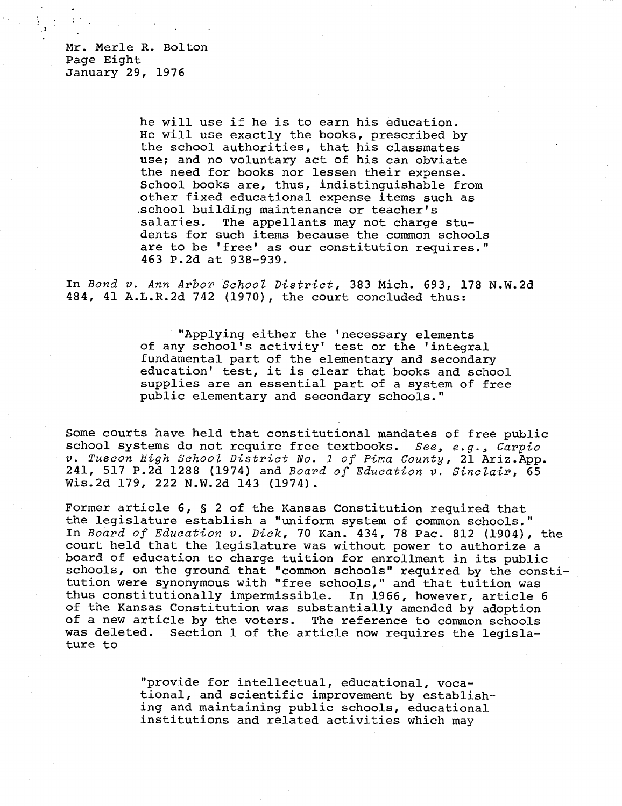Mr. Merle R. Bolton Page Eight January 29, 1976

> he will use if he is to earn his education. He will use exactly the books, prescribed by the school authorities, that his classmates use; and no voluntary act of his can obviate the need for books nor lessen their expense. School books are, thus, indistinguishable from other fixed educational expense items such as .school building maintenance or teacher's salaries. The appellants may not charge students for such items because the common schools are to be 'free' as our constitution requires." 463 P.2d at 938-939.

In Bond v. Ann Arbor School District, 383 Mich. 693, 178 N.W.2d 484, 41 A.L.R.2d 742 (1970), the court concluded thus:

> "Applying either the 'necessary elements of any school's activity' test or the 'integral fundamental part of the elementary and secondary education' test, it is clear that books and school supplies are an essential part of a system of free public elementary and secondary schools."

Some courts have held that constitutional mandates of free public school systems do not require free textbooks. See, e.g., Carpio v. Tuscon High School District No. 1 of Pima County, 21 Ariz.App. 241, 517 P.2d 1288 (1974) and Board of Education v. Sinclair, 65 Wis.2d 179, 222 N.W.2d 143 (1974).

Former article 6, § 2 of the Kansas Constitution required that the legislature establish a "uniform system of common schools." In Board of Education v. Dick, 70 Kan. 434, 78 Pac. 812 (1904), the court held that the legislature was without power to authorize a board of education to charge tuition for enrollment in its public schools, on the ground that "common schools" required by the constitution were synonymous with "free schools," and that tuition was thus constitutionally impermissible. In 1966, however, article 6 of the Kansas Constitution was substantially amended by adoption of a new article by the voters. The reference to common schools was deleted. Section 1 of the article now requires the legislature to

> "provide for intellectual, educational, vocational, and scientific improvement by establishing and maintaining public schools, educational institutions and related activities which may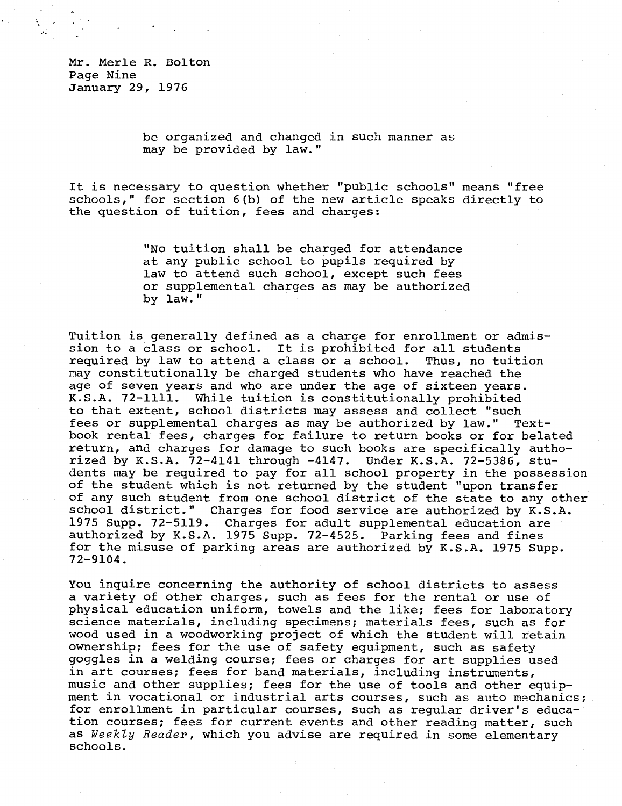Mr. Merle R. Bolton Page Nine January 29, 1976

> be organized and changed in such manner as may be provided by law."

It is necessary to question whether "public schools" means "free schools," for section 6(b) of the new article speaks directly to the question of tuition, fees and charges:

> "No tuition shall be charged for attendance at any public school to pupils required by law to attend such school, except such fees or supplemental charges as may be authorized by law."

Tuition is generally defined as a charge for enrollment or admission to a class or school. It is prohibited for all students required by law to attend a class or a school. Thus, no tuition may constitutionally be charged students who have reached the age of seven years and who are under the age of sixteen years. K.S.A. 72-1111. While tuition is constitutionally prohibited to that extent, school districts may assess and collect "such fees or supplemental charges as may be authorized by law." Textbook rental fees, charges for failure to return books or for belated return, and charges for damage to such books are specifically authorized by K.S.A. 72-4141 through -4147. Under K.S.A. 72-5386, students may be required to pay for all school property in the possession of the student which is not returned by the student "upon transfer of any such student from one school district of the state to any other school district." Charges for food service are authorized by K.S.A. 1975 Supp. 72-5119. Charges for adult supplemental education are authorized by K.S.A. 1975 Supp. 72-4525. Parking fees and fines for the misuse of parking areas are authorized by K.S.A. 1975 Supp. 72-9104.

You inquire concerning the authority of school districts to assess a variety of other charges, such as fees for the rental or use of physical education uniform, towels and the like; fees for laboratory science materials, including specimens; materials fees, such as for wood used in a woodworking project of which the student will retain ownership; fees for the use of safety equipment, such as safety goggles in a welding course; fees or charges for art supplies used in art courses; fees for band materials, including instruments, music and other supplies; fees for the use of tools and other equipment in vocational or industrial arts courses, such as auto mechanics; for enrollment in particular courses, such as regular driver's education courses; fees for current events and other reading matter, such as Weekly Reader, which you advise are required in some elementary schools.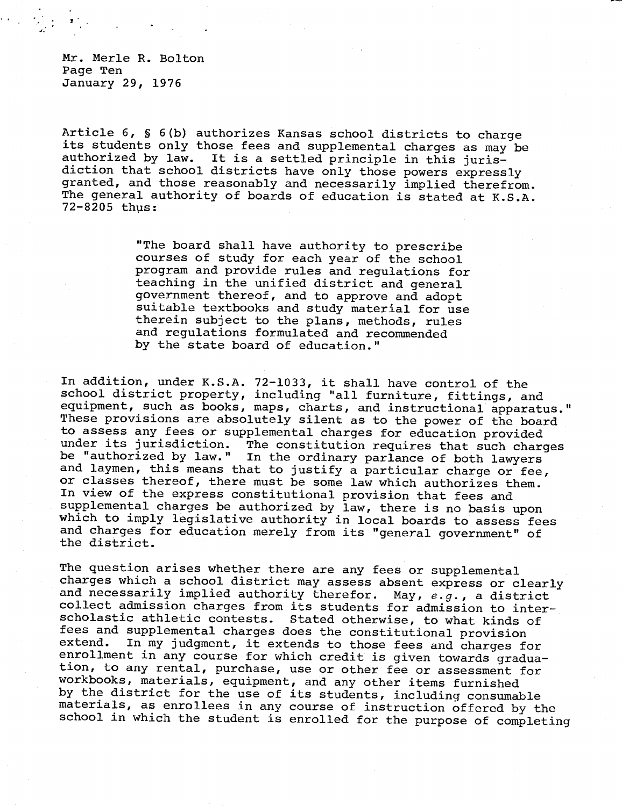Mr. Merle R. Bolton Page Ten January 29, 1976

Article 6, § 6(b) authorizes Kansas school districts to charge its students only those fees and supplemental charges as may be authorized by law. It is a settled principle in this jurisdiction that school districts have only those powers expressly granted, and those reasonably and necessarily implied therefrom. The general authority of boards of education is stated at K.S.A. 72-8205 thus:

> "The board shall have authority to prescribe courses of study for each year of the school program and provide rules and regulations for teaching in the unified district and general government thereof, and to approve and adopt suitable textbooks and study material for use therein subject to the plans, methods, rules and regulations formulated and recommended by the state board of education."

In addition, under K.S.A. 72-1033, it shall have control of the school district property, including "all furniture, fittings, and equipment, such as books, maps, charts, and instructional apparatus." These provisions are absolutely silent as to the power of the board to assess any fees or supplemental charges for education provided The constitution requires that such charges be "authorized by law." In the ordinary parlance of both lawyers and laymen, this means that to justify a particular charge or fee, or classes thereof, there must be some law which authorizes them. In view of the express constitutional provision that fees and supplemental charges be authorized by law, there is no basis upon which to imply legislative authority in local boards to assess fees and charges for education merely from its "general government" of the district.

The question arises whether there are any fees or supplemental charges which a school district may assess absent express or clearly and necessarily implied authority therefor. May,  $e.g.$ , a district collect admission charges from its students for admission to interscholastic athletic contests. Stated otherwise, to what kinds of fees and supplemental charges does the constitutional provision<br>extend. In my judgment, it extends to those fees and charges for In my judgment, it extends to those fees and charges for enrollment in any course for which credit is given towards graduation, to any rental, purchase, use or other fee or assessment for workbooks, materials, equipment, and any other items furnished by the district for the use of its students, including consumable materials, as enrollees in any course of instruction offered by the school in which the student is enrolled for the purpose of completing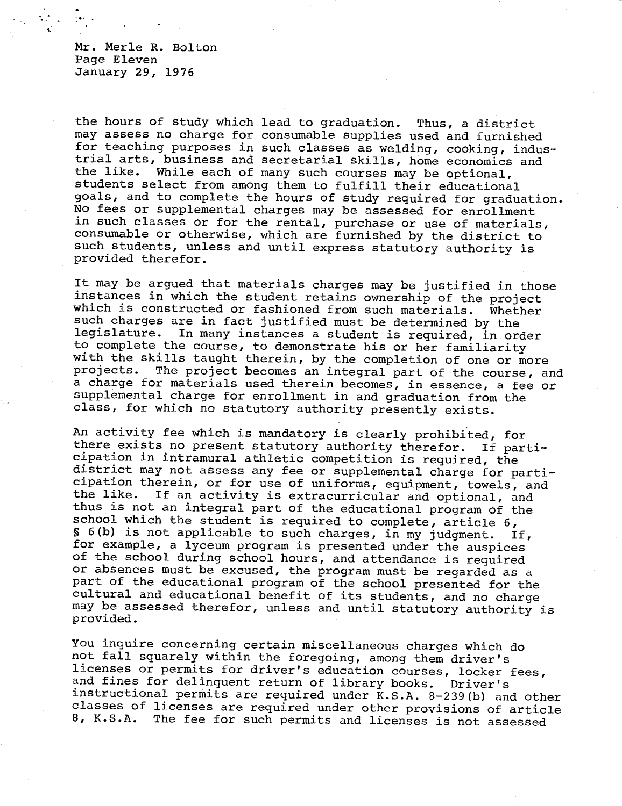Mr. Merle R. Bolton Page Eleven January 29, 1976

the hours of study which lead to graduation. Thus, a district may assess no charge for consumable supplies used and furnished for teaching purposes in such classes as welding, cooking, industrial arts, business and secretarial skills, home economics and the like. While each of many such courses may be optional. While each of many such courses may be optional, students select from among them to fulfill their educational goals, and to complete the hours of study required for graduation. No fees or supplemental charges may be assessed for enrollment in such classes or for the rental, purchase or use of materials, consumable or otherwise, which are furnished by the district to such students, unless and until express statutory authority is provided therefor.

It may be argued that materials charges may be justified in those instances in which the student retains ownership of the project which is constructed or fashioned from such materials. Whether such charges are in fact justified must be determined by the legislature. In many instances a student is required, in order to complete the course, to demonstrate his or her familiarity with the skills taught therein, by the completion of one or more<br>projects. The project becomes an integral part of the course, an The project becomes an integral part of the course, and a charge for materials used therein becomes, in essence, a fee or supplemental charge for enrollment in and graduation from the class, for which no statutory authority presently exists.

An activity fee which is mandatory is clearly prohibited, for there exists no present statutory authority therefor. If participation in intramural athletic competition is required, the district may not assess any fee or supplemental charge for participation therein, or for use of uniforms, equipment, towels, and<br>the like. If an activity is extracurricular and optional and If an activity is extracurricular and optional, and thus is not an integral part of the educational program of the school which the student is required to complete, article 6, § 6(b) is not applicable to such charges, in my judgment. If, for example, a lyceum program is presented under the auspices of the school during school hours, and attendance is required or absences must be excused, the program must be regarded as a part of the educational program of the school presented for the cultural and educational benefit of its students, and no charge may be assessed therefor, unless and until statutory authority is provided.

You inquire concerning certain miscellaneous charges which do not fall squarely within the foregoing, among them driver's licenses or permits for driver's education courses, locker fees, and fines for delinquent return of library books. Driver's instructional permits are required under K.S.A. 8-239(b) and other classes of licenses are required under other provisions of article<br>8. K.S.A. The fee for such permits and licenses is not assessed The fee for such permits and licenses is not assessed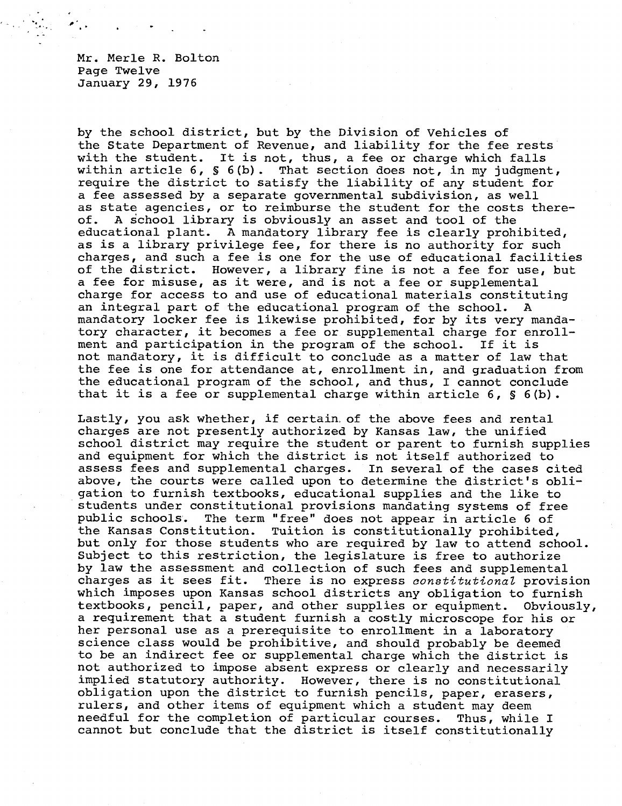Mr. Merle R. Bolton Page Twelve January 29, 1976

by the school district, but by the Division of Vehicles of the State Department of Revenue, and liability for the fee rests with the student. It is not, thus, a fee or charge which falls within article 6, § 6(b). That section does not, in my judgment, require the district to satisfy the liability of any student for a fee assessed by a separate governmental subdivision, as well as state agencies, or to reimburse the student for the costs thereof. A school library is obviously an asset and tool of the educational plant. A mandatory library fee is clearly prohibited, as is a library privilege fee, for there is no authority for such charges, and such a fee is one for the use of educational facilities of the district. However, a library fine is not a fee for use, but a fee for misuse, as it were, and is not a fee or supplemental charge for access to and use of educational materials constituting an integral part of the educational program of the school. A mandatory locker fee is likewise prohibited, for by its very mandatory character, it becomes a fee or supplemental charge for enrollment and participation in the program of the school. If it is not mandatory, it is difficult to conclude as a matter of law that the fee is one for attendance at, enrollment in, and graduation from the educational program of the school, and thus, I cannot conclude that it is a fee or supplemental charge within article  $6, S, 6(b)$ .

Lastly, you ask whether, if certain. of the above fees and rental charges are not presently authorized by Kansas law, the unified school district may require the student or parent to furnish supplies and equipment for which the district is not itself authorized to assess fees and supplemental charges. In several of the cases cited above, the courts were called upon to determine the district's obligation to furnish textbooks, educational supplies and the like to students under constitutional provisions mandating systems of free public schools. The term "free" does not appear in article 6 of the Kansas Constitution. Tuition is constitutionally prohibited, but only for those students who are required by law to attend school. Subject to this restriction, the legislature is free to authorize by law the assessment and collection of such fees and supplemental charges as it sees fit. There is no express constitutional provision which imposes upon Kansas school districts any obligation to furnish textbooks, pencil, paper, and other supplies or equipment. Obviously, a requirement that a student furnish a costly microscope for his or her personal use as a prerequisite to enrollment in a laboratory science class would be prohibitive, and should probably be deemed to be an indirect fee or supplemental charge which the district is not authorized to impose absent express or clearly and necessarily implied statutory authority. However, there is no constitutional obligation upon the district to furnish pencils, paper, erasers, rulers, and other items of equipment which a student may deem needful for the completion of particular courses. Thus, while I cannot but conclude that the district is itself constitutionally